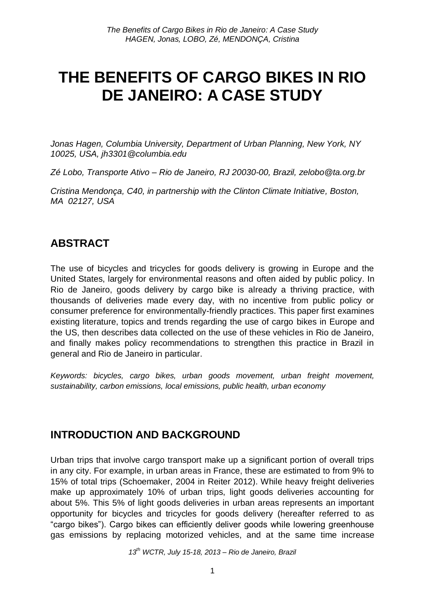# **THE BENEFITS OF CARGO BIKES IN RIO DE JANEIRO: A CASE STUDY**

*Jonas Hagen, Columbia University, Department of Urban Planning, New York, NY 10025, USA, jh3301@columbia.edu*

*Zé Lobo, Transporte Ativo – Rio de Janeiro, RJ 20030-00, Brazil, zelobo@ta.org.br*

*Cristina Mendonça, C40, in partnership with the Clinton Climate Initiative, Boston, MA 02127, USA*

# **ABSTRACT**

The use of bicycles and tricycles for goods delivery is growing in Europe and the United States, largely for environmental reasons and often aided by public policy. In Rio de Janeiro, goods delivery by cargo bike is already a thriving practice, with thousands of deliveries made every day, with no incentive from public policy or consumer preference for environmentally-friendly practices. This paper first examines existing literature, topics and trends regarding the use of cargo bikes in Europe and the US, then describes data collected on the use of these vehicles in Rio de Janeiro, and finally makes policy recommendations to strengthen this practice in Brazil in general and Rio de Janeiro in particular.

*Keywords: bicycles, cargo bikes, urban goods movement, urban freight movement, sustainability, carbon emissions, local emissions, public health, urban economy*

# **INTRODUCTION AND BACKGROUND**

Urban trips that involve cargo transport make up a significant portion of overall trips in any city. For example, in urban areas in France, these are estimated to from 9% to 15% of total trips (Schoemaker, 2004 in Reiter 2012). While heavy freight deliveries make up approximately 10% of urban trips, light goods deliveries accounting for about 5%. This 5% of light goods deliveries in urban areas represents an important opportunity for bicycles and tricycles for goods delivery (hereafter referred to as "cargo bikes"). Cargo bikes can efficiently deliver goods while lowering greenhouse gas emissions by replacing motorized vehicles, and at the same time increase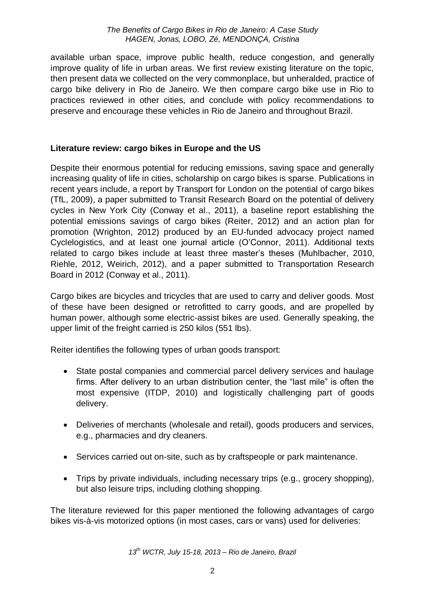available urban space, improve public health, reduce congestion, and generally improve quality of life in urban areas. We first review existing literature on the topic, then present data we collected on the very commonplace, but unheralded, practice of cargo bike delivery in Rio de Janeiro. We then compare cargo bike use in Rio to practices reviewed in other cities, and conclude with policy recommendations to preserve and encourage these vehicles in Rio de Janeiro and throughout Brazil.

### **Literature review: cargo bikes in Europe and the US**

Despite their enormous potential for reducing emissions, saving space and generally increasing quality of life in cities, scholarship on cargo bikes is sparse. Publications in recent years include, a report by Transport for London on the potential of cargo bikes (TfL, 2009), a paper submitted to Transit Research Board on the potential of delivery cycles in New York City (Conway et al., 2011), a baseline report establishing the potential emissions savings of cargo bikes (Reiter, 2012) and an action plan for promotion (Wrighton, 2012) produced by an EU-funded advocacy project named Cyclelogistics, and at least one journal article (O'Connor, 2011). Additional texts related to cargo bikes include at least three master's theses (Muhlbacher, 2010, Riehle, 2012, Weirich, 2012), and a paper submitted to Transportation Research Board in 2012 (Conway et al., 2011).

Cargo bikes are bicycles and tricycles that are used to carry and deliver goods. Most of these have been designed or retrofitted to carry goods, and are propelled by human power, although some electric-assist bikes are used. Generally speaking, the upper limit of the freight carried is 250 kilos (551 lbs).

Reiter identifies the following types of urban goods transport:

- State postal companies and commercial parcel delivery services and haulage firms. After delivery to an urban distribution center, the "last mile" is often the most expensive (ITDP, 2010) and logistically challenging part of goods delivery.
- Deliveries of merchants (wholesale and retail), goods producers and services, e.g., pharmacies and dry cleaners.
- Services carried out on-site, such as by craftspeople or park maintenance.
- Trips by private individuals, including necessary trips (e.g., grocery shopping), but also leisure trips, including clothing shopping.

The literature reviewed for this paper mentioned the following advantages of cargo bikes vis-à-vis motorized options (in most cases, cars or vans) used for deliveries: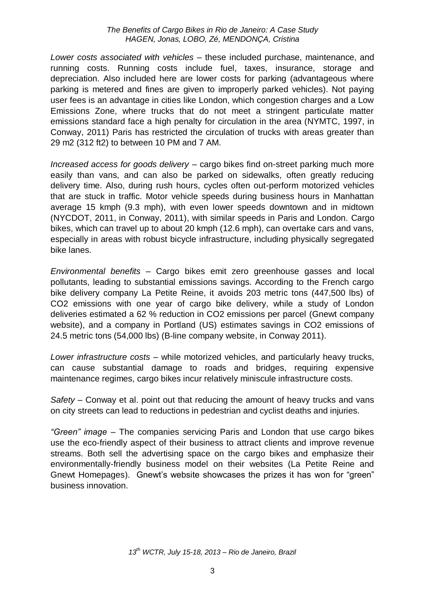*Lower costs associated with vehicles* – these included purchase, maintenance, and running costs. Running costs include fuel, taxes, insurance, storage and depreciation. Also included here are lower costs for parking (advantageous where parking is metered and fines are given to improperly parked vehicles). Not paying user fees is an advantage in cities like London, which congestion charges and a Low Emissions Zone, where trucks that do not meet a stringent particulate matter emissions standard face a high penalty for circulation in the area (NYMTC, 1997, in Conway, 2011) Paris has restricted the circulation of trucks with areas greater than 29 m2 (312 ft2) to between 10 PM and 7 AM.

*Increased access for goods delivery* – cargo bikes find on-street parking much more easily than vans, and can also be parked on sidewalks, often greatly reducing delivery time. Also, during rush hours, cycles often out-perform motorized vehicles that are stuck in traffic. Motor vehicle speeds during business hours in Manhattan average 15 kmph (9.3 mph), with even lower speeds downtown and in midtown (NYCDOT, 2011, in Conway, 2011), with similar speeds in Paris and London. Cargo bikes, which can travel up to about 20 kmph (12.6 mph), can overtake cars and vans, especially in areas with robust bicycle infrastructure, including physically segregated bike lanes.

*Environmental benefits* – Cargo bikes emit zero greenhouse gasses and local pollutants, leading to substantial emissions savings. According to the French cargo bike delivery company La Petite Reine, it avoids 203 metric tons (447,500 lbs) of CO2 emissions with one year of cargo bike delivery, while a study of London deliveries estimated a 62 % reduction in CO2 emissions per parcel (Gnewt company website), and a company in Portland (US) estimates savings in CO2 emissions of 24.5 metric tons (54,000 lbs) (B-line company website, in Conway 2011).

*Lower infrastructure costs* – while motorized vehicles, and particularly heavy trucks, can cause substantial damage to roads and bridges, requiring expensive maintenance regimes, cargo bikes incur relatively miniscule infrastructure costs.

*Safety* – Conway et al. point out that reducing the amount of heavy trucks and vans on city streets can lead to reductions in pedestrian and cyclist deaths and injuries.

*"Green" image* – The companies servicing Paris and London that use cargo bikes use the eco-friendly aspect of their business to attract clients and improve revenue streams. Both sell the advertising space on the cargo bikes and emphasize their environmentally-friendly business model on their websites (La Petite Reine and Gnewt Homepages). Gnewt's website showcases the prizes it has won for "green" business innovation.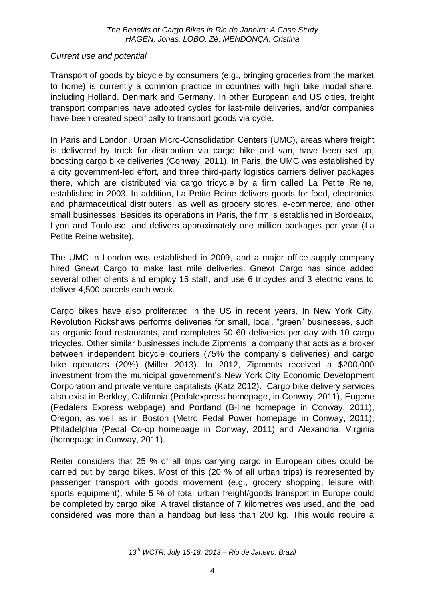### *Current use and potential*

Transport of goods by bicycle by consumers (e.g., bringing groceries from the market to home) is currently a common practice in countries with high bike modal share, including Holland, Denmark and Germany. In other European and US cities, freight transport companies have adopted cycles for last-mile deliveries, and/or companies have been created specifically to transport goods via cycle.

In Paris and London, Urban Micro-Consolidation Centers (UMC), areas where freight is delivered by truck for distribution via cargo bike and van, have been set up, boosting cargo bike deliveries (Conway, 2011). In Paris, the UMC was established by a city government-led effort, and three third-party logistics carriers deliver packages there, which are distributed via cargo tricycle by a firm called La Petite Reine, established in 2003. In addition, La Petite Reine delivers goods for food, electronics and pharmaceutical distributers, as well as grocery stores, e-commerce, and other small businesses. Besides its operations in Paris, the firm is established in Bordeaux, Lyon and Toulouse, and delivers approximately one million packages per year (La Petite Reine website).

The UMC in London was established in 2009, and a major office-supply company hired Gnewt Cargo to make last mile deliveries. Gnewt Cargo has since added several other clients and employ 15 staff, and use 6 tricycles and 3 electric vans to deliver 4,500 parcels each week.

Cargo bikes have also proliferated in the US in recent years. In New York City, Revolution Rickshaws performs deliveries for small, local, "green" businesses, such as organic food restaurants, and completes 50-60 deliveries per day with 10 cargo tricycles. Other similar businesses include Zipments, a company that acts as a broker between independent bicycle couriers (75% the company`s deliveries) and cargo bike operators (20%) (Miller 2013). In 2012, Zipments received a \$200,000 investment from the municipal government's New York City Economic Development Corporation and private venture capitalists (Katz 2012). Cargo bike delivery services also exist in Berkley, California (Pedalexpress homepage, in Conway, 2011), Eugene (Pedalers Express webpage) and Portland (B-line homepage in Conway, 2011), Oregon, as well as in Boston (Metro Pedal Power homepage in Conway, 2011), Philadelphia (Pedal Co-op homepage in Conway, 2011) and Alexandria, Virginia (homepage in Conway, 2011).

Reiter considers that 25 % of all trips carrying cargo in European cities could be carried out by cargo bikes. Most of this (20 % of all urban trips) is represented by passenger transport with goods movement (e.g., grocery shopping, leisure with sports equipment), while 5 % of total urban freight/goods transport in Europe could be completed by cargo bike. A travel distance of 7 kilometres was used, and the load considered was more than a handbag but less than 200 kg. This would require a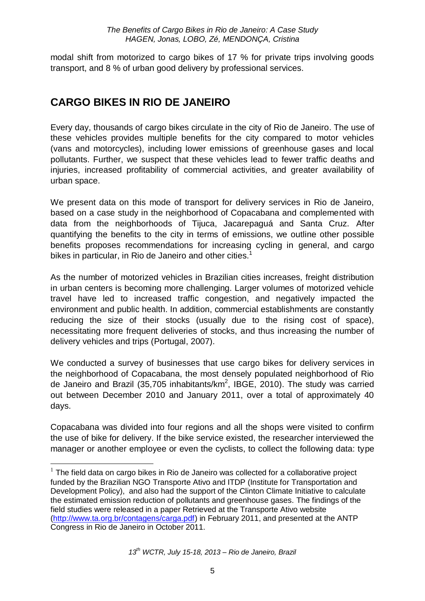modal shift from motorized to cargo bikes of 17 % for private trips involving goods transport, and 8 % of urban good delivery by professional services.

# **CARGO BIKES IN RIO DE JANEIRO**

<u>.</u>

Every day, thousands of cargo bikes circulate in the city of Rio de Janeiro. The use of these vehicles provides multiple benefits for the city compared to motor vehicles (vans and motorcycles), including lower emissions of greenhouse gases and local pollutants. Further, we suspect that these vehicles lead to fewer traffic deaths and injuries, increased profitability of commercial activities, and greater availability of urban space.

We present data on this mode of transport for delivery services in Rio de Janeiro, based on a case study in the neighborhood of Copacabana and complemented with data from the neighborhoods of Tijuca, Jacarepaguá and Santa Cruz. After quantifying the benefits to the city in terms of emissions, we outline other possible benefits proposes recommendations for increasing cycling in general, and cargo bikes in particular, in Rio de Janeiro and other cities.<sup>1</sup>

As the number of motorized vehicles in Brazilian cities increases, freight distribution in urban centers is becoming more challenging. Larger volumes of motorized vehicle travel have led to increased traffic congestion, and negatively impacted the environment and public health. In addition, commercial establishments are constantly reducing the size of their stocks (usually due to the rising cost of space), necessitating more frequent deliveries of stocks, and thus increasing the number of delivery vehicles and trips (Portugal, 2007).

We conducted a survey of businesses that use cargo bikes for delivery services in the neighborhood of Copacabana, the most densely populated neighborhood of Rio de Janeiro and Brazil (35,705 inhabitants/km<sup>2</sup>, IBGE, 2010). The study was carried out between December 2010 and January 2011, over a total of approximately 40 days.

Copacabana was divided into four regions and all the shops were visited to confirm the use of bike for delivery. If the bike service existed, the researcher interviewed the manager or another employee or even the cyclists, to collect the following data: type

 $1$  The field data on cargo bikes in Rio de Janeiro was collected for a collaborative project funded by the Brazilian NGO Transporte Ativo and ITDP (Institute for Transportation and Development Policy), and also had the support of the Clinton Climate Initiative to calculate the estimated emission reduction of pollutants and greenhouse gases. The findings of the field studies were released in a paper Retrieved at the Transporte Ativo website [\(http://www.ta.org.br/contagens/carga.pdf\)](http://www.ta.org.br/contagens/carga.pdf) in February 2011, and presented at the ANTP Congress in Rio de Janeiro in October 2011.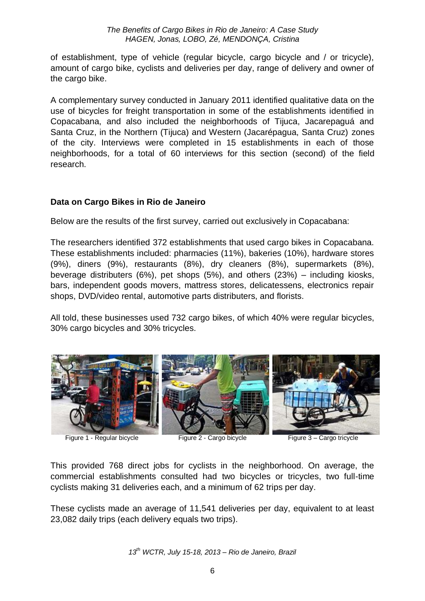of establishment, type of vehicle (regular bicycle, cargo bicycle and / or tricycle), amount of cargo bike, cyclists and deliveries per day, range of delivery and owner of the cargo bike.

A complementary survey conducted in January 2011 identified qualitative data on the use of bicycles for freight transportation in some of the establishments identified in Copacabana, and also included the neighborhoods of Tijuca, Jacarepaguá and Santa Cruz, in the Northern (Tijuca) and Western (Jacarépagua, Santa Cruz) zones of the city. Interviews were completed in 15 establishments in each of those neighborhoods, for a total of 60 interviews for this section (second) of the field research.

### **Data on Cargo Bikes in Rio de Janeiro**

Below are the results of the first survey, carried out exclusively in Copacabana:

The researchers identified 372 establishments that used cargo bikes in Copacabana. These establishments included: pharmacies (11%), bakeries (10%), hardware stores (9%), diners (9%), restaurants (8%), dry cleaners (8%), supermarkets (8%), beverage distributers (6%), pet shops (5%), and others (23%) – including kiosks, bars, independent goods movers, mattress stores, delicatessens, electronics repair shops, DVD/video rental, automotive parts distributers, and florists.

All told, these businesses used 732 cargo bikes, of which 40% were regular bicycles, 30% cargo bicycles and 30% tricycles.



Figure 1 - Regular bicycle Figure 2 - Cargo bicycle Figure 3 - Cargo tricycle

This provided 768 direct jobs for cyclists in the neighborhood. On average, the commercial establishments consulted had two bicycles or tricycles, two full-time cyclists making 31 deliveries each, and a minimum of 62 trips per day.

These cyclists made an average of 11,541 deliveries per day, equivalent to at least 23,082 daily trips (each delivery equals two trips).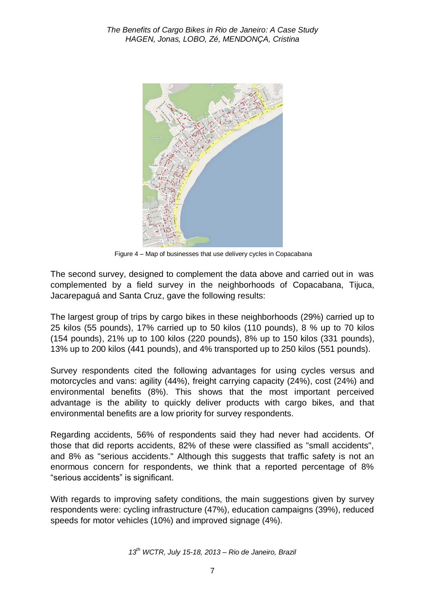

Figure 4 – Map of businesses that use delivery cycles in Copacabana

The second survey, designed to complement the data above and carried out in was complemented by a field survey in the neighborhoods of Copacabana, Tijuca, Jacarepaguá and Santa Cruz, gave the following results:

The largest group of trips by cargo bikes in these neighborhoods (29%) carried up to 25 kilos (55 pounds), 17% carried up to 50 kilos (110 pounds), 8 % up to 70 kilos (154 pounds), 21% up to 100 kilos (220 pounds), 8% up to 150 kilos (331 pounds), 13% up to 200 kilos (441 pounds), and 4% transported up to 250 kilos (551 pounds).

Survey respondents cited the following advantages for using cycles versus and motorcycles and vans: agility (44%), freight carrying capacity (24%), cost (24%) and environmental benefits (8%). This shows that the most important perceived advantage is the ability to quickly deliver products with cargo bikes, and that environmental benefits are a low priority for survey respondents.

Regarding accidents, 56% of respondents said they had never had accidents. Of those that did reports accidents, 82% of these were classified as "small accidents", and 8% as "serious accidents." Although this suggests that traffic safety is not an enormous concern for respondents, we think that a reported percentage of 8% "serious accidents" is significant.

With regards to improving safety conditions, the main suggestions given by survey respondents were: cycling infrastructure (47%), education campaigns (39%), reduced speeds for motor vehicles (10%) and improved signage (4%).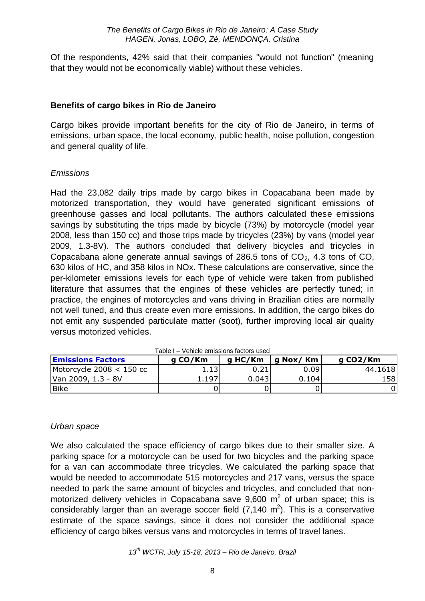Of the respondents, 42% said that their companies "would not function" (meaning that they would not be economically viable) without these vehicles.

#### **Benefits of cargo bikes in Rio de Janeiro**

Cargo bikes provide important benefits for the city of Rio de Janeiro, in terms of emissions, urban space, the local economy, public health, noise pollution, congestion and general quality of life.

#### *Emissions*

Had the 23,082 daily trips made by cargo bikes in Copacabana been made by motorized transportation, they would have generated significant emissions of greenhouse gasses and local pollutants. The authors calculated these emissions savings by substituting the trips made by bicycle (73%) by motorcycle (model year 2008, less than 150 cc) and those trips made by tricycles (23%) by vans (model year 2009, 1.3-8V). The authors concluded that delivery bicycles and tricycles in Copacabana alone generate annual savings of 286.5 tons of  $CO<sub>2</sub>$ , 4.3 tons of CO, 630 kilos of HC, and 358 kilos in NOx. These calculations are conservative, since the per-kilometer emissions levels for each type of vehicle were taken from published literature that assumes that the engines of these vehicles are perfectly tuned; in practice, the engines of motorcycles and vans driving in Brazilian cities are normally not well tuned, and thus create even more emissions. In addition, the cargo bikes do not emit any suspended particulate matter (soot), further improving local air quality versus motorized vehicles.

| <b>Emissions Factors</b>   | g CO/Km | g HC/Km | g Nox/ Km | g CO2/Km |
|----------------------------|---------|---------|-----------|----------|
| Motorcycle $2008 < 150$ cc | 1.1J    |         | 0.09      | 44.1618  |
| Van 2009, 1.3 - 8V         | 1.197   | 0.0431  | 0.104     | 1581     |
| Bike                       |         |         |           |          |

Table I – Vehicle emissions factors used

#### *Urban space*

We also calculated the space efficiency of cargo bikes due to their smaller size. A parking space for a motorcycle can be used for two bicycles and the parking space for a van can accommodate three tricycles. We calculated the parking space that would be needed to accommodate 515 motorcycles and 217 vans, versus the space needed to park the same amount of bicycles and tricycles, and concluded that nonmotorized delivery vehicles in Copacabana save  $9,600 \text{ m}^2$  of urban space; this is considerably larger than an average soccer field  $(7,140 \text{ m}^2)$ . This is a conservative estimate of the space savings, since it does not consider the additional space efficiency of cargo bikes versus vans and motorcycles in terms of travel lanes.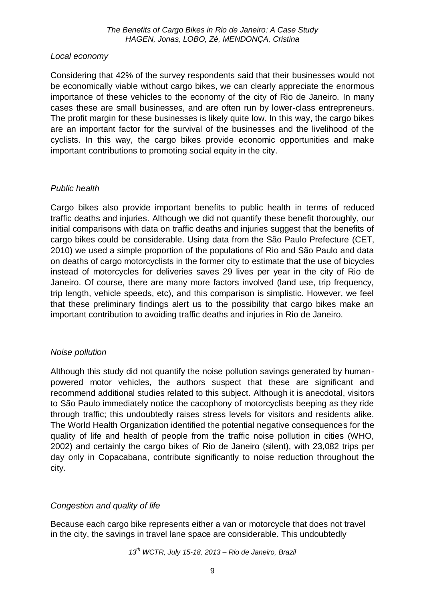### *Local economy*

Considering that 42% of the survey respondents said that their businesses would not be economically viable without cargo bikes, we can clearly appreciate the enormous importance of these vehicles to the economy of the city of Rio de Janeiro. In many cases these are small businesses, and are often run by lower-class entrepreneurs. The profit margin for these businesses is likely quite low. In this way, the cargo bikes are an important factor for the survival of the businesses and the livelihood of the cyclists. In this way, the cargo bikes provide economic opportunities and make important contributions to promoting social equity in the city.

### *Public health*

Cargo bikes also provide important benefits to public health in terms of reduced traffic deaths and injuries. Although we did not quantify these benefit thoroughly, our initial comparisons with data on traffic deaths and injuries suggest that the benefits of cargo bikes could be considerable. Using data from the São Paulo Prefecture (CET, 2010) we used a simple proportion of the populations of Rio and São Paulo and data on deaths of cargo motorcyclists in the former city to estimate that the use of bicycles instead of motorcycles for deliveries saves 29 lives per year in the city of Rio de Janeiro. Of course, there are many more factors involved (land use, trip frequency, trip length, vehicle speeds, etc), and this comparison is simplistic. However, we feel that these preliminary findings alert us to the possibility that cargo bikes make an important contribution to avoiding traffic deaths and injuries in Rio de Janeiro.

### *Noise pollution*

Although this study did not quantify the noise pollution savings generated by humanpowered motor vehicles, the authors suspect that these are significant and recommend additional studies related to this subject. Although it is anecdotal, visitors to São Paulo immediately notice the cacophony of motorcyclists beeping as they ride through traffic; this undoubtedly raises stress levels for visitors and residents alike. The World Health Organization identified the potential negative consequences for the quality of life and health of people from the traffic noise pollution in cities (WHO, 2002) and certainly the cargo bikes of Rio de Janeiro (silent), with 23,082 trips per day only in Copacabana, contribute significantly to noise reduction throughout the city.

### *Congestion and quality of life*

Because each cargo bike represents either a van or motorcycle that does not travel in the city, the savings in travel lane space are considerable. This undoubtedly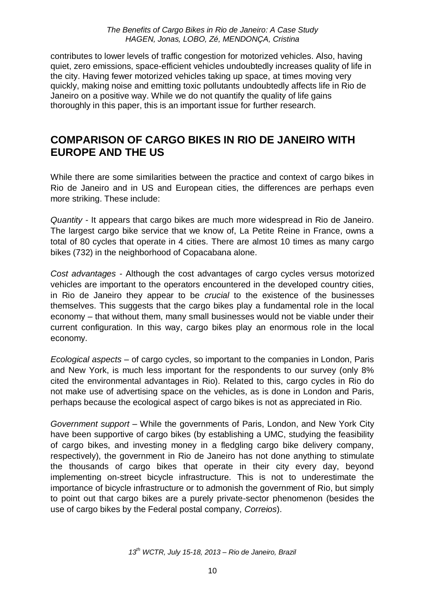contributes to lower levels of traffic congestion for motorized vehicles. Also, having quiet, zero emissions, space-efficient vehicles undoubtedly increases quality of life in the city. Having fewer motorized vehicles taking up space, at times moving very quickly, making noise and emitting toxic pollutants undoubtedly affects life in Rio de Janeiro on a positive way. While we do not quantify the quality of life gains thoroughly in this paper, this is an important issue for further research.

### **COMPARISON OF CARGO BIKES IN RIO DE JANEIRO WITH EUROPE AND THE US**

While there are some similarities between the practice and context of cargo bikes in Rio de Janeiro and in US and European cities, the differences are perhaps even more striking. These include:

*Quantity -* It appears that cargo bikes are much more widespread in Rio de Janeiro. The largest cargo bike service that we know of, La Petite Reine in France, owns a total of 80 cycles that operate in 4 cities. There are almost 10 times as many cargo bikes (732) in the neighborhood of Copacabana alone.

*Cost advantages -* Although the cost advantages of cargo cycles versus motorized vehicles are important to the operators encountered in the developed country cities, in Rio de Janeiro they appear to be *crucial* to the existence of the businesses themselves. This suggests that the cargo bikes play a fundamental role in the local economy – that without them, many small businesses would not be viable under their current configuration. In this way, cargo bikes play an enormous role in the local economy.

*Ecological aspects* – of cargo cycles, so important to the companies in London, Paris and New York, is much less important for the respondents to our survey (only 8% cited the environmental advantages in Rio). Related to this, cargo cycles in Rio do not make use of advertising space on the vehicles, as is done in London and Paris, perhaps because the ecological aspect of cargo bikes is not as appreciated in Rio.

*Government support –* While the governments of Paris, London, and New York City have been supportive of cargo bikes (by establishing a UMC, studying the feasibility of cargo bikes, and investing money in a fledgling cargo bike delivery company, respectively), the government in Rio de Janeiro has not done anything to stimulate the thousands of cargo bikes that operate in their city every day, beyond implementing on-street bicycle infrastructure. This is not to underestimate the importance of bicycle infrastructure or to admonish the government of Rio, but simply to point out that cargo bikes are a purely private-sector phenomenon (besides the use of cargo bikes by the Federal postal company, *Correios*).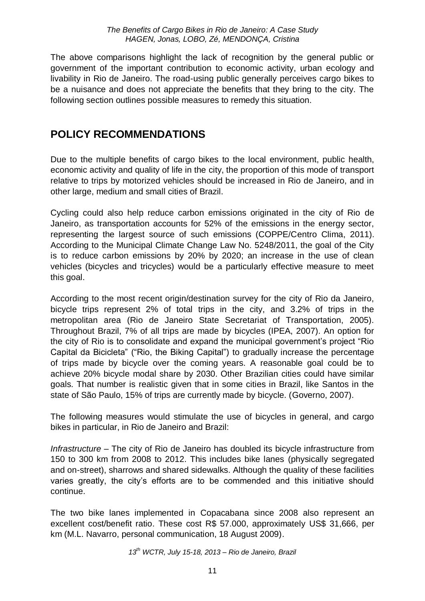The above comparisons highlight the lack of recognition by the general public or government of the important contribution to economic activity, urban ecology and livability in Rio de Janeiro. The road-using public generally perceives cargo bikes to be a nuisance and does not appreciate the benefits that they bring to the city. The following section outlines possible measures to remedy this situation.

### **POLICY RECOMMENDATIONS**

Due to the multiple benefits of cargo bikes to the local environment, public health, economic activity and quality of life in the city, the proportion of this mode of transport relative to trips by motorized vehicles should be increased in Rio de Janeiro, and in other large, medium and small cities of Brazil.

Cycling could also help reduce carbon emissions originated in the city of Rio de Janeiro, as transportation accounts for 52% of the emissions in the energy sector, representing the largest source of such emissions (COPPE/Centro Clima, 2011). According to the Municipal Climate Change Law No. 5248/2011, the goal of the City is to reduce carbon emissions by 20% by 2020; an increase in the use of clean vehicles (bicycles and tricycles) would be a particularly effective measure to meet this goal.

According to the most recent origin/destination survey for the city of Rio da Janeiro, bicycle trips represent 2% of total trips in the city, and 3.2% of trips in the metropolitan area (Rio de Janeiro State Secretariat of Transportation, 2005). Throughout Brazil, 7% of all trips are made by bicycles (IPEA, 2007). An option for the city of Rio is to consolidate and expand the municipal government's project "Rio Capital da Bicicleta" ("Rio, the Biking Capital") to gradually increase the percentage of trips made by bicycle over the coming years. A reasonable goal could be to achieve 20% bicycle modal share by 2030. Other Brazilian cities could have similar goals. That number is realistic given that in some cities in Brazil, like Santos in the state of São Paulo, 15% of trips are currently made by bicycle. (Governo, 2007).

The following measures would stimulate the use of bicycles in general, and cargo bikes in particular, in Rio de Janeiro and Brazil:

*Infrastructure –* The city of Rio de Janeiro has doubled its bicycle infrastructure from 150 to 300 km from 2008 to 2012. This includes bike lanes (physically segregated and on-street), sharrows and shared sidewalks. Although the quality of these facilities varies greatly, the city's efforts are to be commended and this initiative should continue.

The two bike lanes implemented in Copacabana since 2008 also represent an excellent cost/benefit ratio. These cost R\$ 57.000, approximately US\$ 31,666, per km (M.L. Navarro, personal communication, 18 August 2009).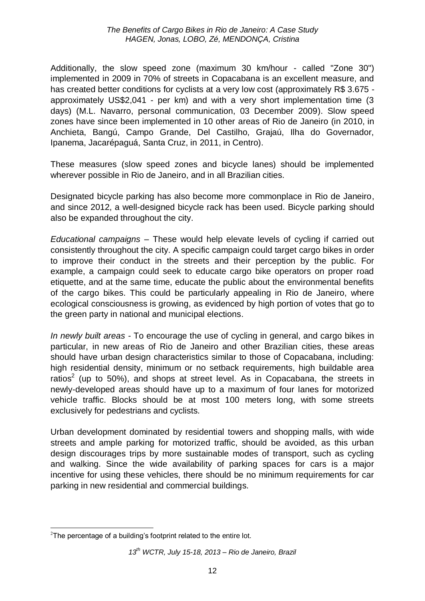Additionally, the slow speed zone (maximum 30 km/hour - called "Zone 30") implemented in 2009 in 70% of streets in Copacabana is an excellent measure, and has created better conditions for cyclists at a very low cost (approximately R\$ 3.675 approximately US\$2,041 - per km) and with a very short implementation time (3 days) (M.L. Navarro, personal communication, 03 December 2009). Slow speed zones have since been implemented in 10 other areas of Rio de Janeiro (in 2010, in Anchieta, Bangú, Campo Grande, Del Castilho, Grajaú, Ilha do Governador, Ipanema, Jacarépaguá, Santa Cruz, in 2011, in Centro).

These measures (slow speed zones and bicycle lanes) should be implemented wherever possible in Rio de Janeiro, and in all Brazilian cities.

Designated bicycle parking has also become more commonplace in Rio de Janeiro, and since 2012, a well-designed bicycle rack has been used. Bicycle parking should also be expanded throughout the city.

*Educational campaigns* – These would help elevate levels of cycling if carried out consistently throughout the city. A specific campaign could target cargo bikes in order to improve their conduct in the streets and their perception by the public. For example, a campaign could seek to educate cargo bike operators on proper road etiquette, and at the same time, educate the public about the environmental benefits of the cargo bikes. This could be particularly appealing in Rio de Janeiro, where ecological consciousness is growing, as evidenced by high portion of votes that go to the green party in national and municipal elections.

*In newly built areas -* To encourage the use of cycling in general, and cargo bikes in particular, in new areas of Rio de Janeiro and other Brazilian cities, these areas should have urban design characteristics similar to those of Copacabana, including: high residential density, minimum or no setback requirements, high buildable area ratios<sup>2</sup> (up to 50%), and shops at street level. As in Copacabana, the streets in newly-developed areas should have up to a maximum of four lanes for motorized vehicle traffic. Blocks should be at most 100 meters long, with some streets exclusively for pedestrians and cyclists.

Urban development dominated by residential towers and shopping malls, with wide streets and ample parking for motorized traffic, should be avoided, as this urban design discourages trips by more sustainable modes of transport, such as cycling and walking. Since the wide availability of parking spaces for cars is a major incentive for using these vehicles, there should be no minimum requirements for car parking in new residential and commercial buildings.

<sup>1</sup>  $2$ The percentage of a building's footprint related to the entire lot.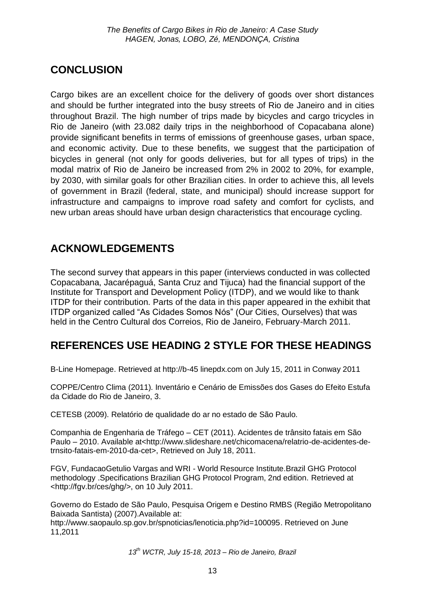# **CONCLUSION**

Cargo bikes are an excellent choice for the delivery of goods over short distances and should be further integrated into the busy streets of Rio de Janeiro and in cities throughout Brazil. The high number of trips made by bicycles and cargo tricycles in Rio de Janeiro (with 23.082 daily trips in the neighborhood of Copacabana alone) provide significant benefits in terms of emissions of greenhouse gases, urban space, and economic activity. Due to these benefits, we suggest that the participation of bicycles in general (not only for goods deliveries, but for all types of trips) in the modal matrix of Rio de Janeiro be increased from 2% in 2002 to 20%, for example, by 2030, with similar goals for other Brazilian cities. In order to achieve this, all levels of government in Brazil (federal, state, and municipal) should increase support for infrastructure and campaigns to improve road safety and comfort for cyclists, and new urban areas should have urban design characteristics that encourage cycling.

# **ACKNOWLEDGEMENTS**

The second survey that appears in this paper (interviews conducted in was collected Copacabana, Jacarépaguá, Santa Cruz and Tijuca) had the financial support of the Institute for Transport and Development Policy (ITDP), and we would like to thank ITDP for their contribution. Parts of the data in this paper appeared in the exhibit that ITDP organized called "As Cidades Somos Nós" (Our Cities, Ourselves) that was held in the Centro Cultural dos Correios, Rio de Janeiro, February-March 2011.

# **REFERENCES USE HEADING 2 STYLE FOR THESE HEADINGS**

B-Line Homepage. Retrieved at http://b-45 linepdx.com on July 15, 2011 in Conway 2011

COPPE/Centro Clima (2011). Inventário e Cenário de Emissões dos Gases do Efeito Estufa da Cidade do Rio de Janeiro, 3.

CETESB (2009). Relatório de qualidade do ar no estado de São Paulo.

Companhia de Engenharia de Tráfego – CET (2011). Acidentes de trânsito fatais em São Paulo – 2010. Available at<http://www.slideshare.net/chicomacena/relatrio-de-acidentes-detrnsito-fatais-em-2010-da-cet>, Retrieved on July 18, 2011.

FGV, FundacaoGetulio Vargas and WRI - World Resource Institute.Brazil GHG Protocol methodology .Specifications Brazilian GHG Protocol Program, 2nd edition. Retrieved at <http://fgv.br/ces/ghg/>, on 10 July 2011.

Governo do Estado de São Paulo, Pesquisa Origem e Destino RMBS (Região Metropolitano Baixada Santista) (2007).Available at:

[http://www.saopaulo.sp.gov.br/spnoticias/lenoticia.php?id=100095.](http://www.saopaulo.sp.gov.br/spnoticias/lenoticia.php?id=100095) Retrieved on June 11,2011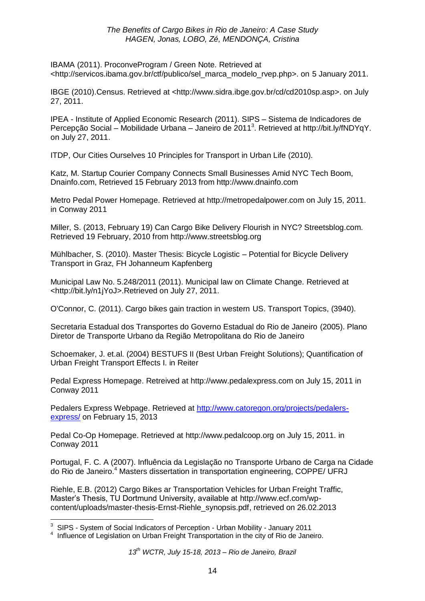IBAMA (2011). ProconveProgram / Green Note. Retrieved at <http://servicos.ibama.gov.br/ctf/publico/sel\_marca\_modelo\_rvep.php>. on 5 January 2011.

IBGE (2010).Census. Retrieved at <http://www.sidra.ibge.gov.br/cd/cd2010sp.asp>. on July 27, 2011.

IPEA - Institute of Applied Economic Research (2011). SIPS – Sistema de Indicadores de Percepção Social – Mobilidade Urbana – Janeiro de 2011<sup>3</sup>. Retrieved at http://bit.ly/fNDYqY. on July 27, 2011.

ITDP, Our Cities Ourselves 10 Principles for Transport in Urban Life (2010).

Katz, M. Startup Courier Company Connects Small Businesses Amid NYC Tech Boom, Dnainfo.com, Retrieved 15 February 2013 from http://www.dnainfo.com

Metro Pedal Power Homepage. Retrieved at [http://metropedalpower.com](http://metropedalpower.com/) on July 15, 2011. in Conway 2011

Miller, S. (2013, February 19) Can Cargo Bike Delivery Flourish in NYC? Streetsblog.com. Retrieved 19 February, 2010 from http://www.streetsblog.org

Mühlbacher, S. (2010). Master Thesis: Bicycle Logistic – Potential for Bicycle Delivery Transport in Graz, FH Johanneum Kapfenberg

Municipal Law No. 5.248/2011 (2011). Municipal law on Climate Change. Retrieved at <http://bit.ly/n1jYoJ>.Retrieved on July 27, 2011.

O'Connor, C. (2011). Cargo bikes gain traction in western US. Transport Topics, (3940).

Secretaria Estadual dos Transportes do Governo Estadual do Rio de Janeiro (2005). Plano Diretor de Transporte Urbano da Região Metropolitana do Rio de Janeiro

Schoemaker, J. et.al. (2004) BESTUFS II (Best Urban Freight Solutions); Quantification of Urban Freight Transport Effects I. in Reiter

Pedal Express Homepage. Retreived at [http://www.pedalexpress.com](http://www.pedalexpress.com/) on July 15, 2011 in Conway 2011

Pedalers Express Webpage. Retrieved at [http://www.catoregon.org/projects/pedalers](http://www.catoregon.org/projects/pedalers-express/)[express/](http://www.catoregon.org/projects/pedalers-express/) on February 15, 2013

Pedal Co-Op Homepage. Retrieved at [http://www.pedalcoop.org](http://www.pedalcoop.org/) on July 15, 2011. in Conway 2011

Portugal, F. C. A (2007). Influência da Legislação no Transporte Urbano de Carga na Cidade do Rio de Janeiro.<sup>4</sup> Masters dissertation in transportation engineering, COPPE/ UFRJ

Riehle, E.B. (2012) Cargo Bikes ar Transportation Vehicles for Urban Freight Traffic, Master's Thesis, TU Dortmund University, available at [http://www.ecf.com/wp](http://www.ecf.com/wp-content/uploads/master-thesis-Ernst-Riehle_synopsis.pdf)[content/uploads/master-thesis-Ernst-Riehle\\_synopsis.pdf,](http://www.ecf.com/wp-content/uploads/master-thesis-Ernst-Riehle_synopsis.pdf) retrieved on 26.02.2013

<sup>1</sup>  $3$  SIPS - System of Social Indicators of Perception - Urban Mobility - January 2011

<sup>&</sup>lt;sup>4</sup> Influence of Legislation on Urban Freight Transportation in the city of Rio de Janeiro.